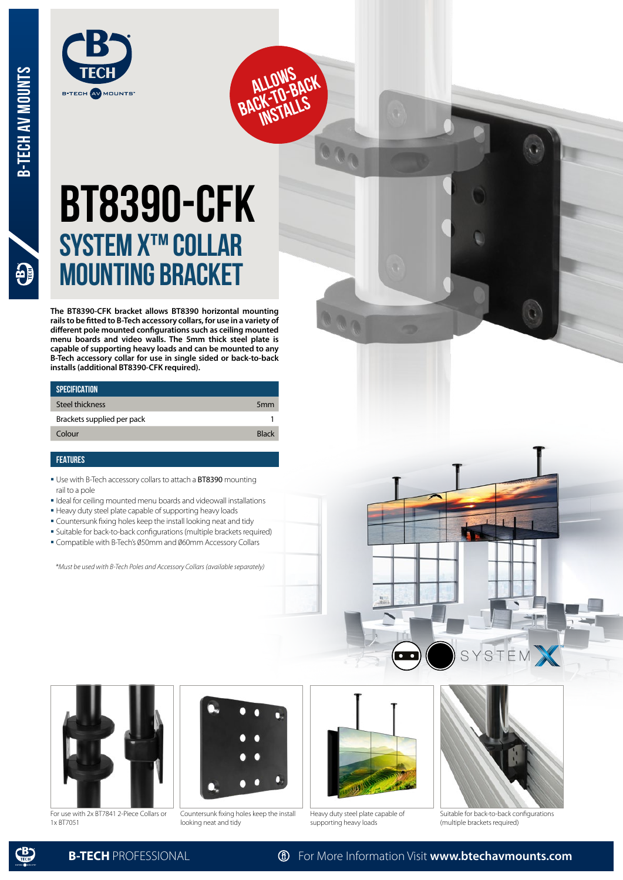$\mathbf{P}$ 



## **BT8390-CFK System X™ Collar mounting bracket**

**ALLOWS**<br>BACK-TO-BACK **INSTALLS** 

**The BT8390-CFK bracket allows BT8390 horizontal mounting rails to be fitted to B-Tech accessory collars, for use in a variety of different pole mounted configurations such as ceiling mounted menu boards and video walls. The 5mm thick steel plate is capable of supporting heavy loads and can be mounted to any B-Tech accessory collar for use in single sided or back-to-back installs (additional BT8390-CFK required).**

| <b>SPECIFICATION</b>       |                 |
|----------------------------|-----------------|
| Steel thickness            | 5 <sub>mm</sub> |
| Brackets supplied per pack |                 |
| Colour                     | <b>Rlack</b>    |
|                            |                 |

## **FEATURES**

- **Use with B-Tech accessory collars to attach a BT8390 mounting** rail to a pole
- Ideal for ceiling mounted menu boards and videowall installations
- Heavy duty steel plate capable of supporting heavy loads
- Countersunk fixing holes keep the install looking neat and tidy
- Suitable for back-to-back configurations (multiple brackets required)
- Compatible with B-Tech's 050mm and 060mm Accessory Collars

*\*Must be used with B-Tech Poles and Accessory Collars (available separately)*



For use with 2x BT7841 2-Piece Collars or 1x BT7051



Countersunk fixing holes keep the install looking neat and tidy



Heavy duty steel plate capable of supporting heavy loads



S

S

EM

Suitable for back-to-back configurations (multiple brackets required)